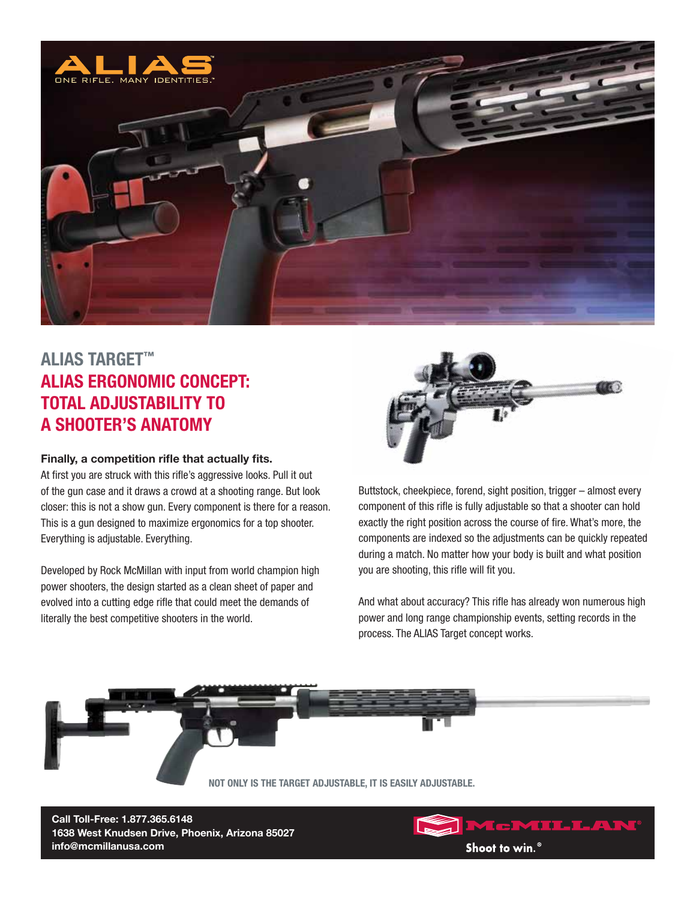

## **ALIAS Target™ Alias ERGONOMIC CONCEPT: TOTAL ADJUSTABILITY TO A SHOOTER'S ANATOMY**

## **Finally, a competition rifle that actually fits.**

At first you are struck with this rifle's aggressive looks. Pull it out of the gun case and it draws a crowd at a shooting range. But look closer: this is not a show gun. Every component is there for a reason. This is a gun designed to maximize ergonomics for a top shooter. Everything is adjustable. Everything.

Developed by Rock McMillan with input from world champion high power shooters, the design started as a clean sheet of paper and evolved into a cutting edge rifle that could meet the demands of literally the best competitive shooters in the world.



Buttstock, cheekpiece, forend, sight position, trigger – almost every component of this rifle is fully adjustable so that a shooter can hold exactly the right position across the course of fire. What's more, the components are indexed so the adjustments can be quickly repeated during a match. No matter how your body is built and what position you are shooting, this rifle will fit you.

And what about accuracy? This rifle has already won numerous high power and long range championship events, setting records in the process. The ALIAS Target concept works.



**Call Toll-Free: 1.877.365.6148 1638 West Knudsen Drive, Phoenix, Arizona 85027 info@mcmillanusa.com**